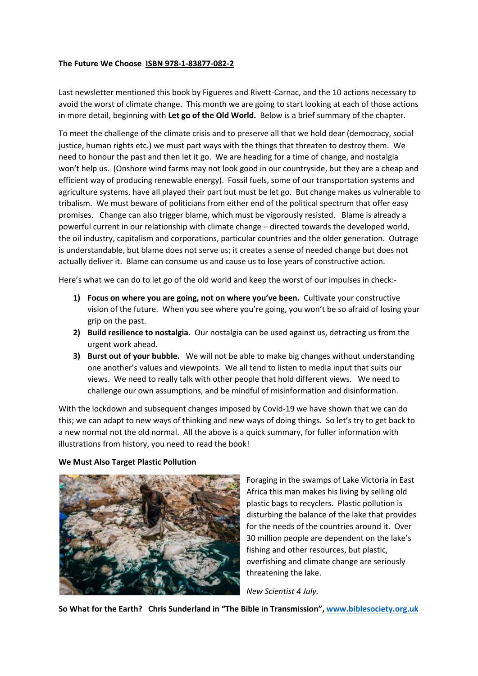### **The Future We Choose ISBN 978-1-83877-082-2**

Last newsletter mentioned this book by Figueres and Rivett-Carnac, and the 10 actions necessary to avoid the worst of climate change. This month we are going to start looking at each of those actions in more detail, beginning with **Let go of the Old World.** Below is a brief summary of the chapter.

To meet the challenge of the climate crisis and to preserve all that we hold dear (democracy, social justice, human rights etc.) we must part ways with the things that threaten to destroy them. We need to honour the past and then let it go. We are heading for a time of change, and nostalgia won't help us. (Onshore wind farms may not look good in our countryside, but they are a cheap and efficient way of producing renewable energy). Fossil fuels, some of our transportation systems and agriculture systems, have all played their part but must be let go. But change makes us vulnerable to tribalism. We must beware of politicians from either end of the political spectrum that offer easy promises. Change can also trigger blame, which must be vigorously resisted. Blame is already a powerful current in our relationship with climate change – directed towards the developed world, the oil industry, capitalism and corporations, particular countries and the older generation. Outrage is understandable, but blame does not serve us; it creates a sense of needed change but does not actually deliver it. Blame can consume us and cause us to lose years of constructive action.

Here's what we can do to let go of the old world and keep the worst of our impulses in check:-

- **1) Focus on where you are going, not on where you've been.** Cultivate your constructive vision of the future. When you see where you're going, you won't be so afraid of losing your grip on the past.
- **2) Build resilience to nostalgia.** Our nostalgia can be used against us, detracting us from the urgent work ahead.
- **3) Burst out of your bubble.** We will not be able to make big changes without understanding one another's values and viewpoints. We all tend to listen to media input that suits our views. We need to really talk with other people that hold different views. We need to challenge our own assumptions, and be mindful of misinformation and disinformation.

With the lockdown and subsequent changes imposed by Covid-19 we have shown that we can do this; we can adapt to new ways of thinking and new ways of doing things. So let's try to get back to a new normal not the old normal. All the above is a quick summary, for fuller information with illustrations from history, you need to read the book!

#### **We Must Also Target Plastic Pollution**



Foraging in the swamps of Lake Victoria in East Africa this man makes his living by selling old plastic bags to recyclers. Plastic pollution is disturbing the balance of the lake that provides for the needs of the countries around it. Over 30 million people are dependent on the lake's fishing and other resources, but plastic, overfishing and climate change are seriously threatening the lake.

*New Scientist 4 July.*

**So What for the Earth? Chris Sunderland in "The Bible in Transmission", www.biblesociety.org.uk**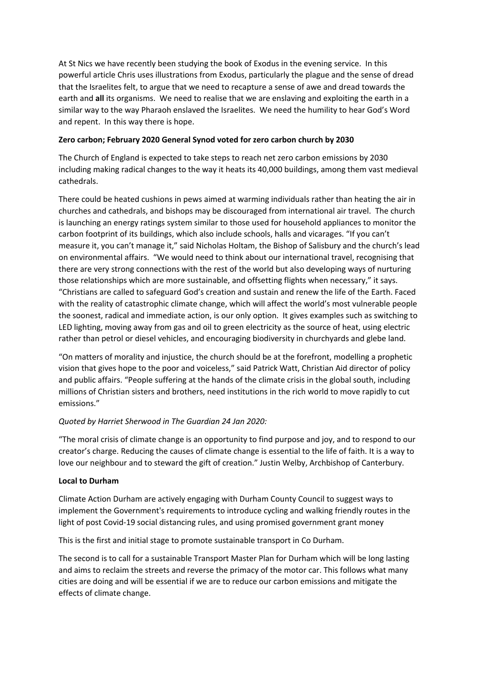At St Nics we have recently been studying the book of Exodus in the evening service. In this powerful article Chris uses illustrations from Exodus, particularly the plague and the sense of dread that the Israelites felt, to argue that we need to recapture a sense of awe and dread towards the earth and **all** its organisms. We need to realise that we are enslaving and exploiting the earth in a similar way to the way Pharaoh enslaved the Israelites. We need the humility to hear God's Word and repent. In this way there is hope.

## **Zero carbon; February 2020 General Synod voted for zero carbon church by 2030**

The Church of England is expected to take steps to reach net zero carbon emissions by 2030 including making radical changes to the way it heats its 40,000 buildings, among them vast medieval cathedrals.

There could be heated cushions in pews aimed at warming individuals rather than heating the air in churches and cathedrals, and bishops may be discouraged from international air travel. The church is launching an energy ratings system similar to those used for household appliances to monitor the carbon footprint of its buildings, which also include schools, halls and vicarages. "If you can't measure it, you can't manage it," said Nicholas Holtam, the Bishop of Salisbury and the church's lead on environmental affairs. "We would need to think about our international travel, recognising that there are very strong connections with the rest of the world but also developing ways of nurturing those relationships which are more sustainable, and offsetting flights when necessary," it says. "Christians are called to safeguard God's creation and sustain and renew the life of the Earth. Faced with the reality of catastrophic climate change, which will affect the world's most vulnerable people the soonest, radical and immediate action, is our only option. It gives examples such as switching to LED lighting, moving away from gas and oil to green electricity as the source of heat, using electric rather than petrol or diesel vehicles, and encouraging biodiversity in churchyards and glebe land.

"On matters of morality and injustice, the church should be at the forefront, modelling a prophetic vision that gives hope to the poor and voiceless," said Patrick Watt, Christian Aid director of policy and public affairs. "People suffering at the hands of the climate crisis in the global south, including millions of Christian sisters and brothers, need institutions in the rich world to move rapidly to cut emissions."

# *Quoted by Harriet Sherwood in The Guardian 24 Jan 2020:*

"The moral crisis of climate change is an opportunity to find purpose and joy, and to respond to our creator's charge. Reducing the causes of climate change is essential to the life of faith. It is a way to love our neighbour and to steward the gift of creation." Justin Welby, Archbishop of Canterbury.

## **Local to Durham**

Climate Action Durham are actively engaging with Durham County Council to suggest ways to implement the Government's requirements to introduce cycling and walking friendly routes in the light of post Covid-19 social distancing rules, and using promised government grant money

This is the first and initial stage to promote sustainable transport in Co Durham.

The second is to call for a sustainable Transport Master Plan for Durham which will be long lasting and aims to reclaim the streets and reverse the primacy of the motor car. This follows what many cities are doing and will be essential if we are to reduce our carbon emissions and mitigate the effects of climate change.